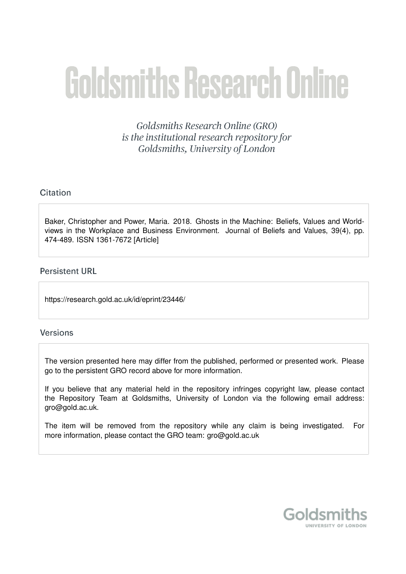# **Goldsmiths Research Online**

Goldsmiths Research Online (GRO) is the institutional research repository for Goldsmiths, University of London

# Citation

Baker, Christopher and Power, Maria. 2018. Ghosts in the Machine: Beliefs, Values and Worldviews in the Workplace and Business Environment. Journal of Beliefs and Values, 39(4), pp. 474-489. ISSN 1361-7672 [Article]

## **Persistent URL**

https://research.gold.ac.uk/id/eprint/23446/

## **Versions**

The version presented here may differ from the published, performed or presented work. Please go to the persistent GRO record above for more information.

If you believe that any material held in the repository infringes copyright law, please contact the Repository Team at Goldsmiths, University of London via the following email address: gro@gold.ac.uk.

The item will be removed from the repository while any claim is being investigated. For more information, please contact the GRO team: gro@gold.ac.uk

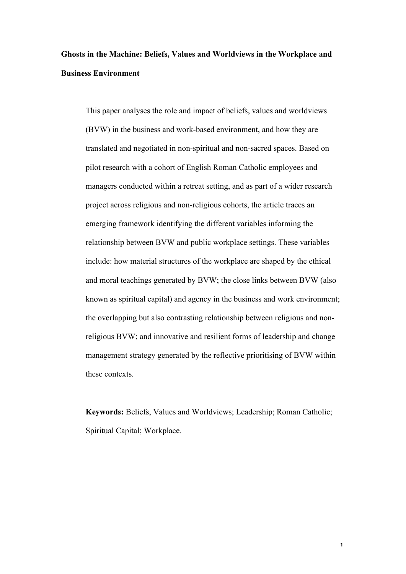# **Ghosts in the Machine: Beliefs, Values and Worldviews in the Workplace and Business Environment**

This paper analyses the role and impact of beliefs, values and worldviews (BVW) in the business and work-based environment, and how they are translated and negotiated in non-spiritual and non-sacred spaces. Based on pilot research with a cohort of English Roman Catholic employees and managers conducted within a retreat setting, and as part of a wider research project across religious and non-religious cohorts, the article traces an emerging framework identifying the different variables informing the relationship between BVW and public workplace settings. These variables include: how material structures of the workplace are shaped by the ethical and moral teachings generated by BVW; the close links between BVW (also known as spiritual capital) and agency in the business and work environment; the overlapping but also contrasting relationship between religious and nonreligious BVW; and innovative and resilient forms of leadership and change management strategy generated by the reflective prioritising of BVW within these contexts.

**Keywords:** Beliefs, Values and Worldviews; Leadership; Roman Catholic; Spiritual Capital; Workplace.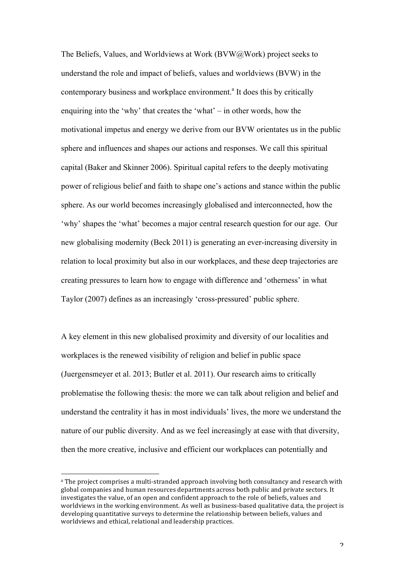The Beliefs, Values, and Worldviews at Work (BVW@Work) project seeks to understand the role and impact of beliefs, values and worldviews (BVW) in the contemporary business and workplace environment. <sup>a</sup> It does this by critically enquiring into the 'why' that creates the 'what' – in other words, how the motivational impetus and energy we derive from our BVW orientates us in the public sphere and influences and shapes our actions and responses. We call this spiritual capital (Baker and Skinner 2006). Spiritual capital refers to the deeply motivating power of religious belief and faith to shape one's actions and stance within the public sphere. As our world becomes increasingly globalised and interconnected, how the 'why' shapes the 'what' becomes a major central research question for our age. Our new globalising modernity (Beck 2011) is generating an ever-increasing diversity in relation to local proximity but also in our workplaces, and these deep trajectories are creating pressures to learn how to engage with difference and 'otherness' in what Taylor (2007) defines as an increasingly 'cross-pressured' public sphere.

A key element in this new globalised proximity and diversity of our localities and workplaces is the renewed visibility of religion and belief in public space (Juergensmeyer et al. 2013; Butler et al. 2011). Our research aims to critically problematise the following thesis: the more we can talk about religion and belief and understand the centrality it has in most individuals' lives, the more we understand the nature of our public diversity. And as we feel increasingly at ease with that diversity, then the more creative, inclusive and efficient our workplaces can potentially and

<sup>a</sup> The project comprises a multi-stranded approach involving both consultancy and research with global companies and human resources departments across both public and private sectors. It investigates the value, of an open and confident approach to the role of beliefs, values and worldviews in the working environment. As well as business-based qualitative data, the project is developing quantitative surveys to determine the relationship between beliefs, values and worldviews and ethical, relational and leadership practices.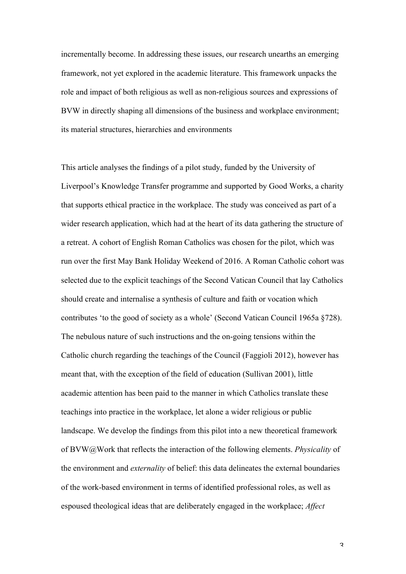incrementally become. In addressing these issues, our research unearths an emerging framework, not yet explored in the academic literature. This framework unpacks the role and impact of both religious as well as non-religious sources and expressions of BVW in directly shaping all dimensions of the business and workplace environment; its material structures, hierarchies and environments

This article analyses the findings of a pilot study, funded by the University of Liverpool's Knowledge Transfer programme and supported by Good Works, a charity that supports ethical practice in the workplace. The study was conceived as part of a wider research application, which had at the heart of its data gathering the structure of a retreat. A cohort of English Roman Catholics was chosen for the pilot, which was run over the first May Bank Holiday Weekend of 2016. A Roman Catholic cohort was selected due to the explicit teachings of the Second Vatican Council that lay Catholics should create and internalise a synthesis of culture and faith or vocation which contributes 'to the good of society as a whole' (Second Vatican Council 1965a §728). The nebulous nature of such instructions and the on-going tensions within the Catholic church regarding the teachings of the Council (Faggioli 2012), however has meant that, with the exception of the field of education (Sullivan 2001), little academic attention has been paid to the manner in which Catholics translate these teachings into practice in the workplace, let alone a wider religious or public landscape. We develop the findings from this pilot into a new theoretical framework of BVW@Work that reflects the interaction of the following elements. *Physicality* of the environment and *externality* of belief: this data delineates the external boundaries of the work-based environment in terms of identified professional roles, as well as espoused theological ideas that are deliberately engaged in the workplace; *Affect*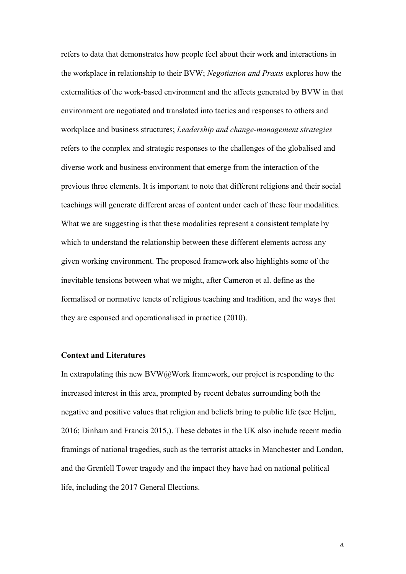refers to data that demonstrates how people feel about their work and interactions in the workplace in relationship to their BVW; *Negotiation and Praxis* explores how the externalities of the work-based environment and the affects generated by BVW in that environment are negotiated and translated into tactics and responses to others and workplace and business structures; *Leadership and change-management strategies*  refers to the complex and strategic responses to the challenges of the globalised and diverse work and business environment that emerge from the interaction of the previous three elements. It is important to note that different religions and their social teachings will generate different areas of content under each of these four modalities. What we are suggesting is that these modalities represent a consistent template by which to understand the relationship between these different elements across any given working environment. The proposed framework also highlights some of the inevitable tensions between what we might, after Cameron et al. define as the formalised or normative tenets of religious teaching and tradition, and the ways that they are espoused and operationalised in practice (2010).

## **Context and Literatures**

In extrapolating this new  $BVM@Work$  framework, our project is responding to the increased interest in this area, prompted by recent debates surrounding both the negative and positive values that religion and beliefs bring to public life (see Heljm, 2016; Dinham and Francis 2015,). These debates in the UK also include recent media framings of national tragedies, such as the terrorist attacks in Manchester and London, and the Grenfell Tower tragedy and the impact they have had on national political life, including the 2017 General Elections.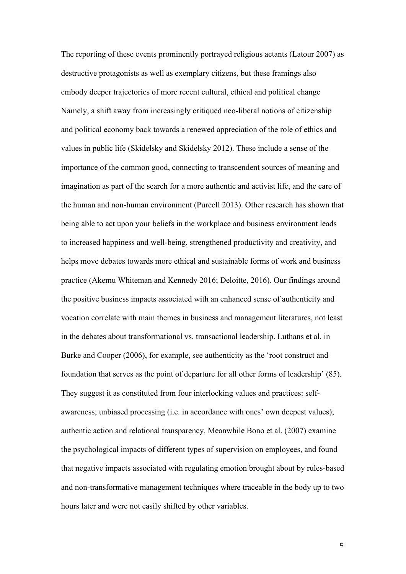The reporting of these events prominently portrayed religious actants (Latour 2007) as destructive protagonists as well as exemplary citizens, but these framings also embody deeper trajectories of more recent cultural, ethical and political change Namely, a shift away from increasingly critiqued neo-liberal notions of citizenship and political economy back towards a renewed appreciation of the role of ethics and values in public life (Skidelsky and Skidelsky 2012). These include a sense of the importance of the common good, connecting to transcendent sources of meaning and imagination as part of the search for a more authentic and activist life, and the care of the human and non-human environment (Purcell 2013). Other research has shown that being able to act upon your beliefs in the workplace and business environment leads to increased happiness and well-being, strengthened productivity and creativity, and helps move debates towards more ethical and sustainable forms of work and business practice (Akemu Whiteman and Kennedy 2016; Deloitte, 2016). Our findings around the positive business impacts associated with an enhanced sense of authenticity and vocation correlate with main themes in business and management literatures, not least in the debates about transformational vs. transactional leadership. Luthans et al. in Burke and Cooper (2006), for example, see authenticity as the 'root construct and foundation that serves as the point of departure for all other forms of leadership' (85). They suggest it as constituted from four interlocking values and practices: selfawareness; unbiased processing (i.e. in accordance with ones' own deepest values); authentic action and relational transparency. Meanwhile Bono et al. (2007) examine the psychological impacts of different types of supervision on employees, and found that negative impacts associated with regulating emotion brought about by rules-based and non-transformative management techniques where traceable in the body up to two hours later and were not easily shifted by other variables.

 $\overline{\mathbf{5}}$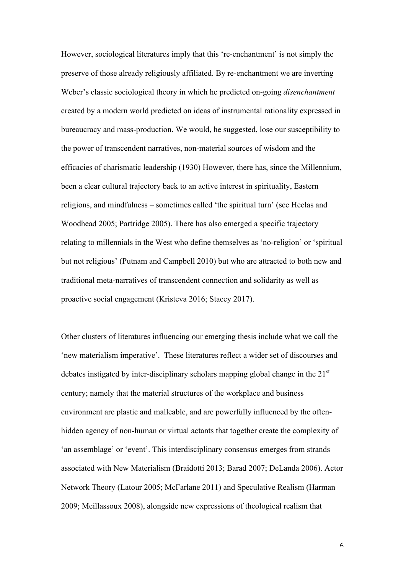However, sociological literatures imply that this 're-enchantment' is not simply the preserve of those already religiously affiliated. By re-enchantment we are inverting Weber's classic sociological theory in which he predicted on-going *disenchantment* created by a modern world predicted on ideas of instrumental rationality expressed in bureaucracy and mass-production. We would, he suggested, lose our susceptibility to the power of transcendent narratives, non-material sources of wisdom and the efficacies of charismatic leadership (1930) However, there has, since the Millennium, been a clear cultural trajectory back to an active interest in spirituality, Eastern religions, and mindfulness – sometimes called 'the spiritual turn' (see Heelas and Woodhead 2005; Partridge 2005). There has also emerged a specific trajectory relating to millennials in the West who define themselves as 'no-religion' or 'spiritual but not religious' (Putnam and Campbell 2010) but who are attracted to both new and traditional meta-narratives of transcendent connection and solidarity as well as proactive social engagement (Kristeva 2016; Stacey 2017).

Other clusters of literatures influencing our emerging thesis include what we call the 'new materialism imperative'. These literatures reflect a wider set of discourses and debates instigated by inter-disciplinary scholars mapping global change in the  $21<sup>st</sup>$ century; namely that the material structures of the workplace and business environment are plastic and malleable, and are powerfully influenced by the oftenhidden agency of non-human or virtual actants that together create the complexity of 'an assemblage' or 'event'. This interdisciplinary consensus emerges from strands associated with New Materialism (Braidotti 2013; Barad 2007; DeLanda 2006). Actor Network Theory (Latour 2005; McFarlane 2011) and Speculative Realism (Harman 2009; Meillassoux 2008), alongside new expressions of theological realism that

 $\mathcal{L}_{\mathcal{L}}$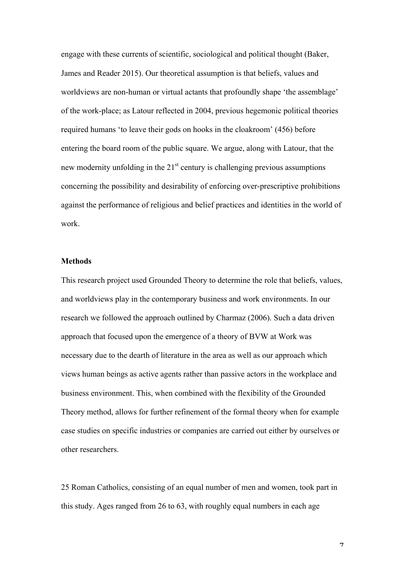engage with these currents of scientific, sociological and political thought (Baker, James and Reader 2015). Our theoretical assumption is that beliefs, values and worldviews are non-human or virtual actants that profoundly shape 'the assemblage' of the work-place; as Latour reflected in 2004, previous hegemonic political theories required humans 'to leave their gods on hooks in the cloakroom' (456) before entering the board room of the public square. We argue, along with Latour, that the new modernity unfolding in the  $21<sup>st</sup>$  century is challenging previous assumptions concerning the possibility and desirability of enforcing over-prescriptive prohibitions against the performance of religious and belief practices and identities in the world of work.

#### **Methods**

This research project used Grounded Theory to determine the role that beliefs, values, and worldviews play in the contemporary business and work environments. In our research we followed the approach outlined by Charmaz (2006). Such a data driven approach that focused upon the emergence of a theory of BVW at Work was necessary due to the dearth of literature in the area as well as our approach which views human beings as active agents rather than passive actors in the workplace and business environment. This, when combined with the flexibility of the Grounded Theory method, allows for further refinement of the formal theory when for example case studies on specific industries or companies are carried out either by ourselves or other researchers.

25 Roman Catholics, consisting of an equal number of men and women, took part in this study. Ages ranged from 26 to 63, with roughly equal numbers in each age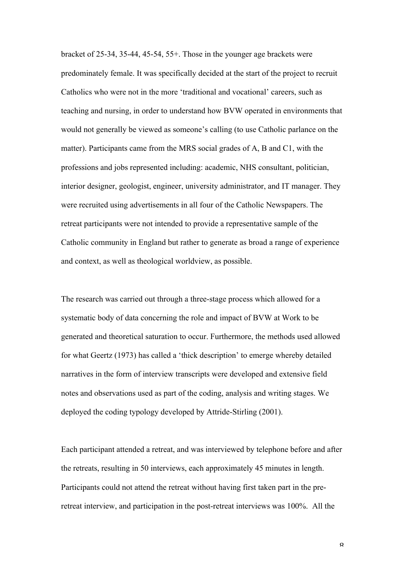bracket of 25-34, 35-44, 45-54, 55+. Those in the younger age brackets were predominately female. It was specifically decided at the start of the project to recruit Catholics who were not in the more 'traditional and vocational' careers, such as teaching and nursing, in order to understand how BVW operated in environments that would not generally be viewed as someone's calling (to use Catholic parlance on the matter). Participants came from the MRS social grades of A, B and C1, with the professions and jobs represented including: academic, NHS consultant, politician, interior designer, geologist, engineer, university administrator, and IT manager. They were recruited using advertisements in all four of the Catholic Newspapers. The retreat participants were not intended to provide a representative sample of the Catholic community in England but rather to generate as broad a range of experience and context, as well as theological worldview, as possible.

The research was carried out through a three-stage process which allowed for a systematic body of data concerning the role and impact of BVW at Work to be generated and theoretical saturation to occur. Furthermore, the methods used allowed for what Geertz (1973) has called a 'thick description' to emerge whereby detailed narratives in the form of interview transcripts were developed and extensive field notes and observations used as part of the coding, analysis and writing stages. We deployed the coding typology developed by Attride-Stirling (2001).

Each participant attended a retreat, and was interviewed by telephone before and after the retreats, resulting in 50 interviews, each approximately 45 minutes in length. Participants could not attend the retreat without having first taken part in the preretreat interview, and participation in the post-retreat interviews was 100%. All the

 $\Omega$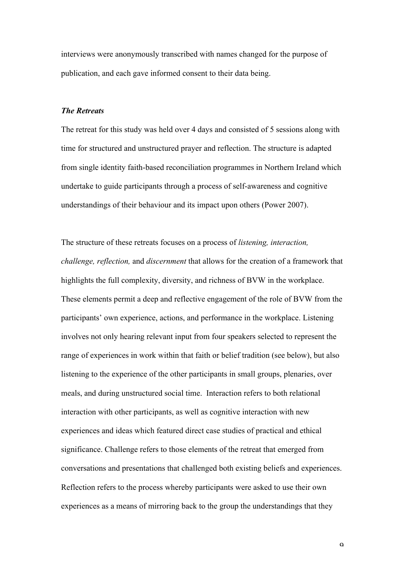interviews were anonymously transcribed with names changed for the purpose of publication, and each gave informed consent to their data being.

## *The Retreats*

The retreat for this study was held over 4 days and consisted of 5 sessions along with time for structured and unstructured prayer and reflection. The structure is adapted from single identity faith-based reconciliation programmes in Northern Ireland which undertake to guide participants through a process of self-awareness and cognitive understandings of their behaviour and its impact upon others (Power 2007).

The structure of these retreats focuses on a process of *listening, interaction, challenge, reflection,* and *discernment* that allows for the creation of a framework that highlights the full complexity, diversity, and richness of BVW in the workplace. These elements permit a deep and reflective engagement of the role of BVW from the participants' own experience, actions, and performance in the workplace. Listening involves not only hearing relevant input from four speakers selected to represent the range of experiences in work within that faith or belief tradition (see below), but also listening to the experience of the other participants in small groups, plenaries, over meals, and during unstructured social time. Interaction refers to both relational interaction with other participants, as well as cognitive interaction with new experiences and ideas which featured direct case studies of practical and ethical significance. Challenge refers to those elements of the retreat that emerged from conversations and presentations that challenged both existing beliefs and experiences. Reflection refers to the process whereby participants were asked to use their own experiences as a means of mirroring back to the group the understandings that they

 $\alpha$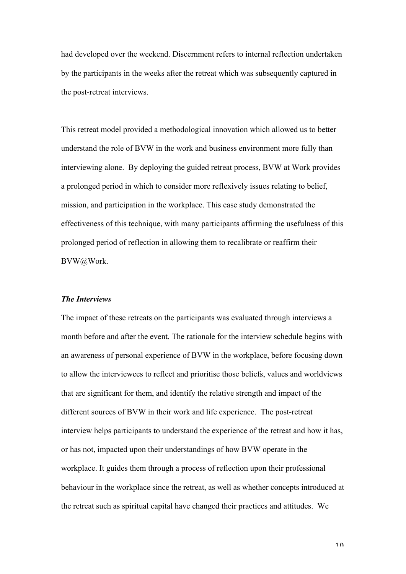had developed over the weekend. Discernment refers to internal reflection undertaken by the participants in the weeks after the retreat which was subsequently captured in the post-retreat interviews.

This retreat model provided a methodological innovation which allowed us to better understand the role of BVW in the work and business environment more fully than interviewing alone. By deploying the guided retreat process, BVW at Work provides a prolonged period in which to consider more reflexively issues relating to belief, mission, and participation in the workplace. This case study demonstrated the effectiveness of this technique, with many participants affirming the usefulness of this prolonged period of reflection in allowing them to recalibrate or reaffirm their BVW@Work.

#### *The Interviews*

The impact of these retreats on the participants was evaluated through interviews a month before and after the event. The rationale for the interview schedule begins with an awareness of personal experience of BVW in the workplace, before focusing down to allow the interviewees to reflect and prioritise those beliefs, values and worldviews that are significant for them, and identify the relative strength and impact of the different sources of BVW in their work and life experience. The post-retreat interview helps participants to understand the experience of the retreat and how it has, or has not, impacted upon their understandings of how BVW operate in the workplace. It guides them through a process of reflection upon their professional behaviour in the workplace since the retreat, as well as whether concepts introduced at the retreat such as spiritual capital have changed their practices and attitudes. We

 $1<sub>0</sub>$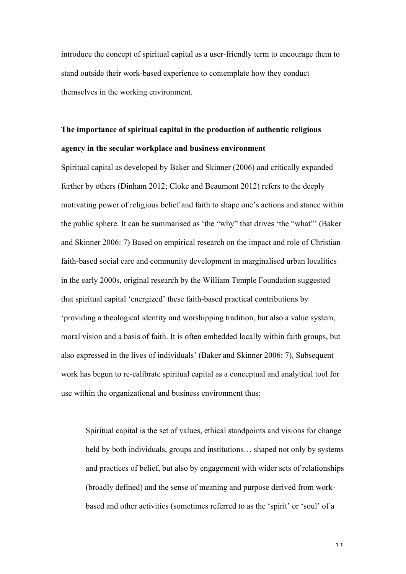introduce the concept of spiritual capital as a user-friendly term to encourage them to stand outside their work-based experience to contemplate how they conduct themselves in the working environment.

# **The importance of spiritual capital in the production of authentic religious agency in the secular workplace and business environment**

Spiritual capital as developed by Baker and Skinner (2006) and critically expanded further by others (Dinham 2012; Cloke and Beaumont 2012) refers to the deeply motivating power of religious belief and faith to shape one's actions and stance within the public sphere. It can be summarised as 'the "why" that drives 'the "what"' (Baker and Skinner 2006: 7) Based on empirical research on the impact and role of Christian faith-based social care and community development in marginalised urban localities in the early 2000s, original research by the William Temple Foundation suggested that spiritual capital 'energized' these faith-based practical contributions by 'providing a theological identity and worshipping tradition, but also a value system, moral vision and a basis of faith. It is often embedded locally within faith groups, but also expressed in the lives of individuals' (Baker and Skinner 2006: 7). Subsequent work has begun to re-calibrate spiritual capital as a conceptual and analytical tool for use within the organizational and business environment thus:

Spiritual capital is the set of values, ethical standpoints and visions for change held by both individuals, groups and institutions... shaped not only by systems and practices of belief, but also by engagement with wider sets of relationships (broadly defined) and the sense of meaning and purpose derived from workbased and other activities (sometimes referred to as the 'spirit' or 'soul' of a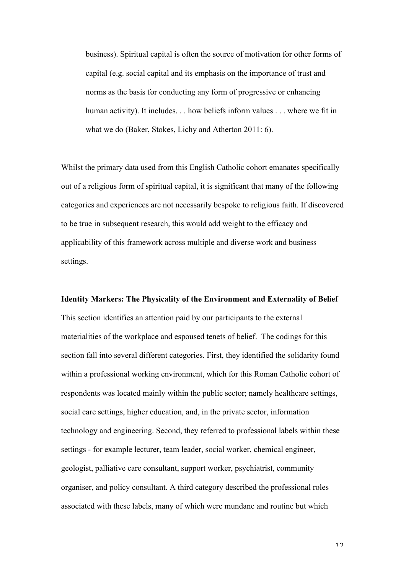business). Spiritual capital is often the source of motivation for other forms of capital (e.g. social capital and its emphasis on the importance of trust and norms as the basis for conducting any form of progressive or enhancing human activity). It includes. . . how beliefs inform values . . . where we fit in what we do (Baker, Stokes, Lichy and Atherton 2011: 6).

Whilst the primary data used from this English Catholic cohort emanates specifically out of a religious form of spiritual capital, it is significant that many of the following categories and experiences are not necessarily bespoke to religious faith. If discovered to be true in subsequent research, this would add weight to the efficacy and applicability of this framework across multiple and diverse work and business settings.

**Identity Markers: The Physicality of the Environment and Externality of Belief** This section identifies an attention paid by our participants to the external materialities of the workplace and espoused tenets of belief. The codings for this section fall into several different categories. First, they identified the solidarity found within a professional working environment, which for this Roman Catholic cohort of respondents was located mainly within the public sector; namely healthcare settings, social care settings, higher education, and, in the private sector, information technology and engineering. Second, they referred to professional labels within these settings - for example lecturer, team leader, social worker, chemical engineer, geologist, palliative care consultant, support worker, psychiatrist, community organiser, and policy consultant. A third category described the professional roles associated with these labels, many of which were mundane and routine but which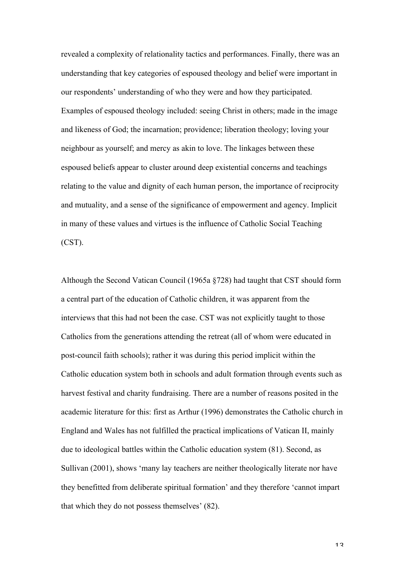revealed a complexity of relationality tactics and performances. Finally, there was an understanding that key categories of espoused theology and belief were important in our respondents' understanding of who they were and how they participated. Examples of espoused theology included: seeing Christ in others; made in the image and likeness of God; the incarnation; providence; liberation theology; loving your neighbour as yourself; and mercy as akin to love. The linkages between these espoused beliefs appear to cluster around deep existential concerns and teachings relating to the value and dignity of each human person, the importance of reciprocity and mutuality, and a sense of the significance of empowerment and agency. Implicit in many of these values and virtues is the influence of Catholic Social Teaching (CST).

Although the Second Vatican Council (1965a §728) had taught that CST should form a central part of the education of Catholic children, it was apparent from the interviews that this had not been the case. CST was not explicitly taught to those Catholics from the generations attending the retreat (all of whom were educated in post-council faith schools); rather it was during this period implicit within the Catholic education system both in schools and adult formation through events such as harvest festival and charity fundraising. There are a number of reasons posited in the academic literature for this: first as Arthur (1996) demonstrates the Catholic church in England and Wales has not fulfilled the practical implications of Vatican II, mainly due to ideological battles within the Catholic education system (81). Second, as Sullivan (2001), shows 'many lay teachers are neither theologically literate nor have they benefitted from deliberate spiritual formation' and they therefore 'cannot impart that which they do not possess themselves' (82).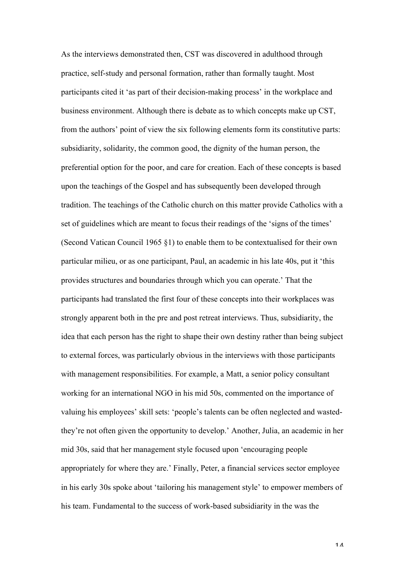As the interviews demonstrated then, CST was discovered in adulthood through practice, self-study and personal formation, rather than formally taught. Most participants cited it 'as part of their decision-making process' in the workplace and business environment. Although there is debate as to which concepts make up CST, from the authors' point of view the six following elements form its constitutive parts: subsidiarity, solidarity, the common good, the dignity of the human person, the preferential option for the poor, and care for creation. Each of these concepts is based upon the teachings of the Gospel and has subsequently been developed through tradition. The teachings of the Catholic church on this matter provide Catholics with a set of guidelines which are meant to focus their readings of the 'signs of the times' (Second Vatican Council 1965 §1) to enable them to be contextualised for their own particular milieu, or as one participant, Paul, an academic in his late 40s, put it 'this provides structures and boundaries through which you can operate.' That the participants had translated the first four of these concepts into their workplaces was strongly apparent both in the pre and post retreat interviews. Thus, subsidiarity, the idea that each person has the right to shape their own destiny rather than being subject to external forces, was particularly obvious in the interviews with those participants with management responsibilities. For example, a Matt, a senior policy consultant working for an international NGO in his mid 50s, commented on the importance of valuing his employees' skill sets: 'people's talents can be often neglected and wastedthey're not often given the opportunity to develop.' Another, Julia, an academic in her mid 30s, said that her management style focused upon 'encouraging people appropriately for where they are.' Finally, Peter, a financial services sector employee in his early 30s spoke about 'tailoring his management style' to empower members of his team. Fundamental to the success of work-based subsidiarity in the was the

 $1<sub>4</sub>$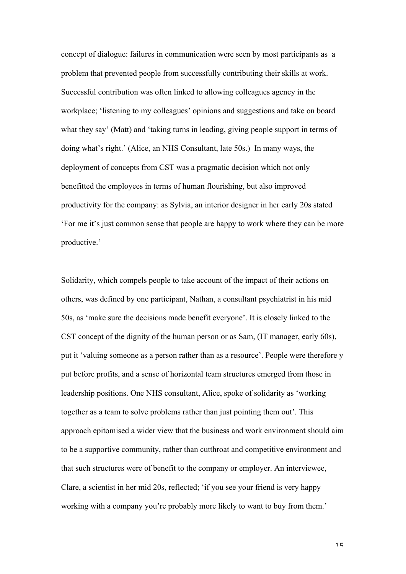concept of dialogue: failures in communication were seen by most participants as a problem that prevented people from successfully contributing their skills at work. Successful contribution was often linked to allowing colleagues agency in the workplace; 'listening to my colleagues' opinions and suggestions and take on board what they say' (Matt) and 'taking turns in leading, giving people support in terms of doing what's right.' (Alice, an NHS Consultant, late 50s.) In many ways, the deployment of concepts from CST was a pragmatic decision which not only benefitted the employees in terms of human flourishing, but also improved productivity for the company: as Sylvia, an interior designer in her early 20s stated 'For me it's just common sense that people are happy to work where they can be more productive.'

Solidarity, which compels people to take account of the impact of their actions on others, was defined by one participant, Nathan, a consultant psychiatrist in his mid 50s, as 'make sure the decisions made benefit everyone'. It is closely linked to the CST concept of the dignity of the human person or as Sam, (IT manager, early 60s), put it 'valuing someone as a person rather than as a resource'. People were therefore y put before profits, and a sense of horizontal team structures emerged from those in leadership positions. One NHS consultant, Alice, spoke of solidarity as 'working together as a team to solve problems rather than just pointing them out'. This approach epitomised a wider view that the business and work environment should aim to be a supportive community, rather than cutthroat and competitive environment and that such structures were of benefit to the company or employer. An interviewee, Clare, a scientist in her mid 20s, reflected; 'if you see your friend is very happy working with a company you're probably more likely to want to buy from them.'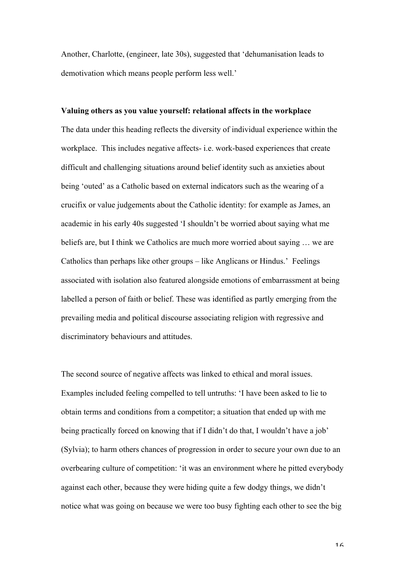Another, Charlotte, (engineer, late 30s), suggested that 'dehumanisation leads to demotivation which means people perform less well.'

#### **Valuing others as you value yourself: relational affects in the workplace**

The data under this heading reflects the diversity of individual experience within the workplace. This includes negative affects- i.e. work-based experiences that create difficult and challenging situations around belief identity such as anxieties about being 'outed' as a Catholic based on external indicators such as the wearing of a crucifix or value judgements about the Catholic identity: for example as James, an academic in his early 40s suggested 'I shouldn't be worried about saying what me beliefs are, but I think we Catholics are much more worried about saying … we are Catholics than perhaps like other groups – like Anglicans or Hindus.' Feelings associated with isolation also featured alongside emotions of embarrassment at being labelled a person of faith or belief. These was identified as partly emerging from the prevailing media and political discourse associating religion with regressive and discriminatory behaviours and attitudes.

The second source of negative affects was linked to ethical and moral issues. Examples included feeling compelled to tell untruths: 'I have been asked to lie to obtain terms and conditions from a competitor; a situation that ended up with me being practically forced on knowing that if I didn't do that, I wouldn't have a job' (Sylvia); to harm others chances of progression in order to secure your own due to an overbearing culture of competition: 'it was an environment where he pitted everybody against each other, because they were hiding quite a few dodgy things, we didn't notice what was going on because we were too busy fighting each other to see the big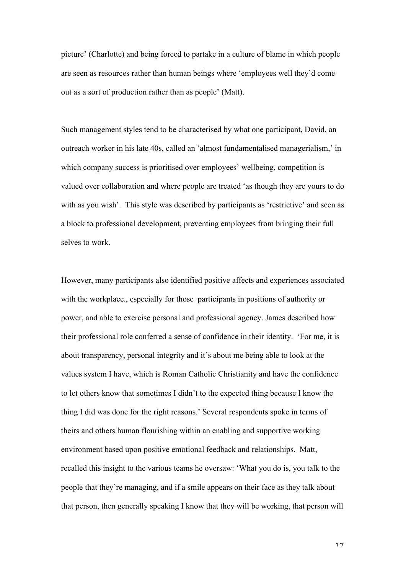picture' (Charlotte) and being forced to partake in a culture of blame in which people are seen as resources rather than human beings where 'employees well they'd come out as a sort of production rather than as people' (Matt).

Such management styles tend to be characterised by what one participant, David, an outreach worker in his late 40s, called an 'almost fundamentalised managerialism,' in which company success is prioritised over employees' wellbeing, competition is valued over collaboration and where people are treated 'as though they are yours to do with as you wish'. This style was described by participants as 'restrictive' and seen as a block to professional development, preventing employees from bringing their full selves to work.

However, many participants also identified positive affects and experiences associated with the workplace., especially for those participants in positions of authority or power, and able to exercise personal and professional agency. James described how their professional role conferred a sense of confidence in their identity. 'For me, it is about transparency, personal integrity and it's about me being able to look at the values system I have, which is Roman Catholic Christianity and have the confidence to let others know that sometimes I didn't to the expected thing because I know the thing I did was done for the right reasons.' Several respondents spoke in terms of theirs and others human flourishing within an enabling and supportive working environment based upon positive emotional feedback and relationships. Matt, recalled this insight to the various teams he oversaw: 'What you do is, you talk to the people that they're managing, and if a smile appears on their face as they talk about that person, then generally speaking I know that they will be working, that person will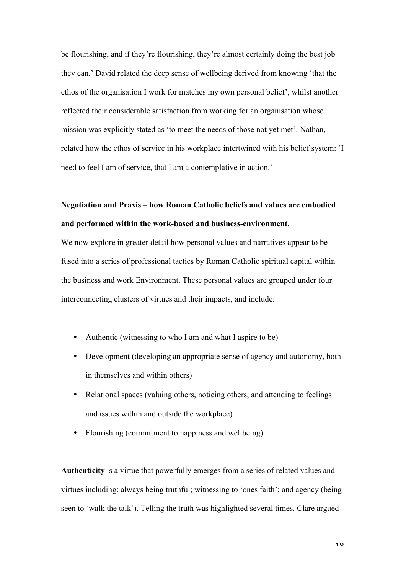be flourishing, and if they're flourishing, they're almost certainly doing the best job they can.' David related the deep sense of wellbeing derived from knowing 'that the ethos of the organisation I work for matches my own personal belief', whilst another reflected their considerable satisfaction from working for an organisation whose mission was explicitly stated as 'to meet the needs of those not yet met'. Nathan, related how the ethos of service in his workplace intertwined with his belief system: 'I need to feel I am of service, that I am a contemplative in action.'

# **Negotiation and Praxis – how Roman Catholic beliefs and values are embodied and performed within the work-based and business-environment.**

We now explore in greater detail how personal values and narratives appear to be fused into a series of professional tactics by Roman Catholic spiritual capital within the business and work Environment. These personal values are grouped under four interconnecting clusters of virtues and their impacts, and include:

- Authentic (witnessing to who I am and what I aspire to be)
- Development (developing an appropriate sense of agency and autonomy, both in themselves and within others)
- Relational spaces (valuing others, noticing others, and attending to feelings and issues within and outside the workplace)
- Flourishing (commitment to happiness and wellbeing)

**Authenticity** is a virtue that powerfully emerges from a series of related values and virtues including: always being truthful; witnessing to 'ones faith'; and agency (being seen to 'walk the talk'). Telling the truth was highlighted several times. Clare argued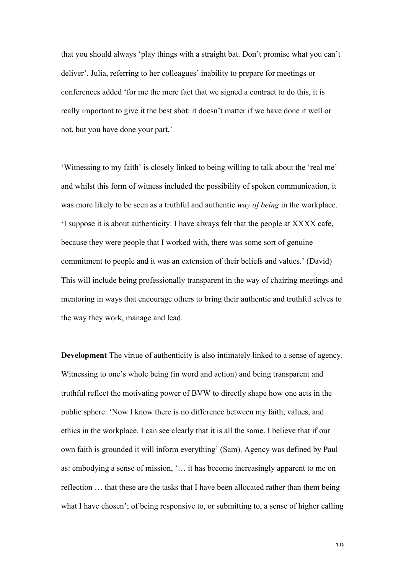that you should always 'play things with a straight bat. Don't promise what you can't deliver'. Julia, referring to her colleagues' inability to prepare for meetings or conferences added 'for me the mere fact that we signed a contract to do this, it is really important to give it the best shot: it doesn't matter if we have done it well or not, but you have done your part.'

'Witnessing to my faith' is closely linked to being willing to talk about the 'real me' and whilst this form of witness included the possibility of spoken communication, it was more likely to be seen as a truthful and authentic *way of being* in the workplace. 'I suppose it is about authenticity. I have always felt that the people at XXXX cafe, because they were people that I worked with, there was some sort of genuine commitment to people and it was an extension of their beliefs and values.' (David) This will include being professionally transparent in the way of chairing meetings and mentoring in ways that encourage others to bring their authentic and truthful selves to the way they work, manage and lead.

**Development** The virtue of authenticity is also intimately linked to a sense of agency. Witnessing to one's whole being (in word and action) and being transparent and truthful reflect the motivating power of BVW to directly shape how one acts in the public sphere: 'Now I know there is no difference between my faith, values, and ethics in the workplace. I can see clearly that it is all the same. I believe that if our own faith is grounded it will inform everything' (Sam). Agency was defined by Paul as: embodying a sense of mission, '… it has become increasingly apparent to me on reflection … that these are the tasks that I have been allocated rather than them being what I have chosen'; of being responsive to, or submitting to, a sense of higher calling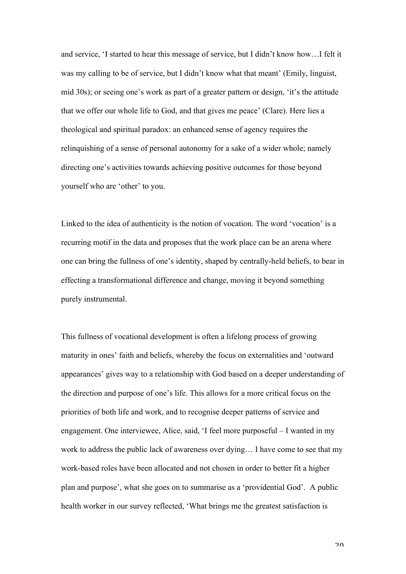and service, 'I started to hear this message of service, but I didn't know how…I felt it was my calling to be of service, but I didn't know what that meant' (Emily, linguist, mid 30s); or seeing one's work as part of a greater pattern or design, 'it's the attitude that we offer our whole life to God, and that gives me peace' (Clare). Here lies a theological and spiritual paradox: an enhanced sense of agency requires the relinquishing of a sense of personal autonomy for a sake of a wider whole; namely directing one's activities towards achieving positive outcomes for those beyond yourself who are 'other' to you.

Linked to the idea of authenticity is the notion of vocation. The word 'vocation' is a recurring motif in the data and proposes that the work place can be an arena where one can bring the fullness of one's identity, shaped by centrally-held beliefs, to bear in effecting a transformational difference and change, moving it beyond something purely instrumental.

This fullness of vocational development is often a lifelong process of growing maturity in ones' faith and beliefs, whereby the focus on externalities and 'outward appearances' gives way to a relationship with God based on a deeper understanding of the direction and purpose of one's life. This allows for a more critical focus on the priorities of both life and work, and to recognise deeper patterns of service and engagement. One interviewee, Alice, said, 'I feel more purposeful – I wanted in my work to address the public lack of awareness over dying… I have come to see that my work-based roles have been allocated and not chosen in order to better fit a higher plan and purpose', what she goes on to summarise as a 'providential God'. A public health worker in our survey reflected, 'What brings me the greatest satisfaction is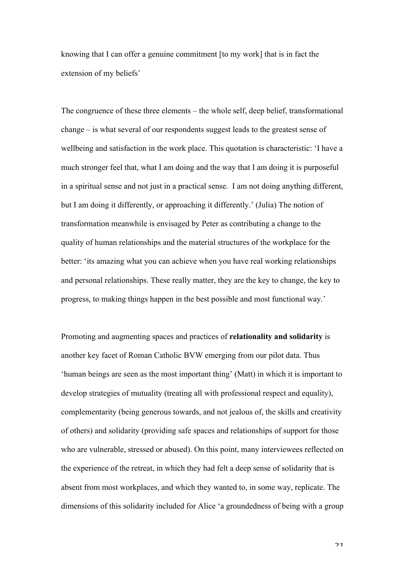knowing that I can offer a genuine commitment [to my work] that is in fact the extension of my beliefs'

The congruence of these three elements – the whole self, deep belief, transformational change – is what several of our respondents suggest leads to the greatest sense of wellbeing and satisfaction in the work place. This quotation is characteristic: 'I have a much stronger feel that, what I am doing and the way that I am doing it is purposeful in a spiritual sense and not just in a practical sense. I am not doing anything different, but I am doing it differently, or approaching it differently.' (Julia) The notion of transformation meanwhile is envisaged by Peter as contributing a change to the quality of human relationships and the material structures of the workplace for the better: 'its amazing what you can achieve when you have real working relationships and personal relationships. These really matter, they are the key to change, the key to progress, to making things happen in the best possible and most functional way.'

Promoting and augmenting spaces and practices of **relationality and solidarity** is another key facet of Roman Catholic BVW emerging from our pilot data. Thus 'human beings are seen as the most important thing' (Matt) in which it is important to develop strategies of mutuality (treating all with professional respect and equality), complementarity (being generous towards, and not jealous of, the skills and creativity of others) and solidarity (providing safe spaces and relationships of support for those who are vulnerable, stressed or abused). On this point, many interviewees reflected on the experience of the retreat, in which they had felt a deep sense of solidarity that is absent from most workplaces, and which they wanted to, in some way, replicate. The dimensions of this solidarity included for Alice 'a groundedness of being with a group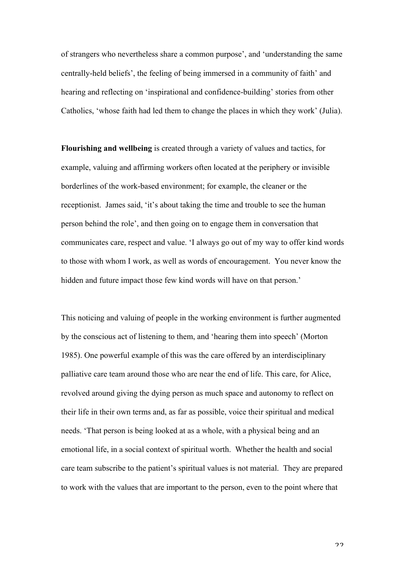of strangers who nevertheless share a common purpose', and 'understanding the same centrally-held beliefs', the feeling of being immersed in a community of faith' and hearing and reflecting on 'inspirational and confidence-building' stories from other Catholics, 'whose faith had led them to change the places in which they work' (Julia).

**Flourishing and wellbeing** is created through a variety of values and tactics, for example, valuing and affirming workers often located at the periphery or invisible borderlines of the work-based environment; for example, the cleaner or the receptionist. James said, 'it's about taking the time and trouble to see the human person behind the role', and then going on to engage them in conversation that communicates care, respect and value. 'I always go out of my way to offer kind words to those with whom I work, as well as words of encouragement. You never know the hidden and future impact those few kind words will have on that person.'

This noticing and valuing of people in the working environment is further augmented by the conscious act of listening to them, and 'hearing them into speech' (Morton 1985). One powerful example of this was the care offered by an interdisciplinary palliative care team around those who are near the end of life. This care, for Alice, revolved around giving the dying person as much space and autonomy to reflect on their life in their own terms and, as far as possible, voice their spiritual and medical needs. 'That person is being looked at as a whole, with a physical being and an emotional life, in a social context of spiritual worth. Whether the health and social care team subscribe to the patient's spiritual values is not material. They are prepared to work with the values that are important to the person, even to the point where that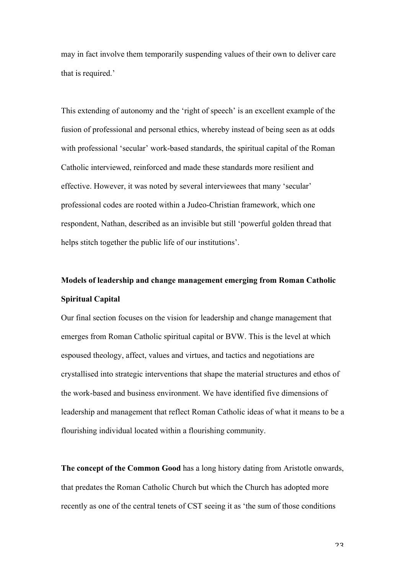may in fact involve them temporarily suspending values of their own to deliver care that is required.'

This extending of autonomy and the 'right of speech' is an excellent example of the fusion of professional and personal ethics, whereby instead of being seen as at odds with professional 'secular' work-based standards, the spiritual capital of the Roman Catholic interviewed, reinforced and made these standards more resilient and effective. However, it was noted by several interviewees that many 'secular' professional codes are rooted within a Judeo-Christian framework, which one respondent, Nathan, described as an invisible but still 'powerful golden thread that helps stitch together the public life of our institutions'.

# **Models of leadership and change management emerging from Roman Catholic Spiritual Capital**

Our final section focuses on the vision for leadership and change management that emerges from Roman Catholic spiritual capital or BVW. This is the level at which espoused theology, affect, values and virtues, and tactics and negotiations are crystallised into strategic interventions that shape the material structures and ethos of the work-based and business environment. We have identified five dimensions of leadership and management that reflect Roman Catholic ideas of what it means to be a flourishing individual located within a flourishing community.

**The concept of the Common Good** has a long history dating from Aristotle onwards, that predates the Roman Catholic Church but which the Church has adopted more recently as one of the central tenets of CST seeing it as 'the sum of those conditions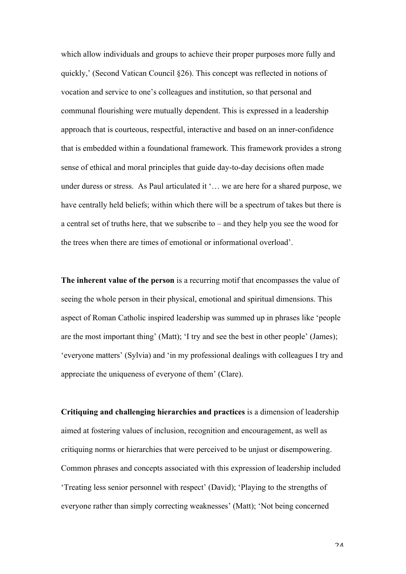which allow individuals and groups to achieve their proper purposes more fully and quickly,' (Second Vatican Council §26). This concept was reflected in notions of vocation and service to one's colleagues and institution, so that personal and communal flourishing were mutually dependent. This is expressed in a leadership approach that is courteous, respectful, interactive and based on an inner-confidence that is embedded within a foundational framework. This framework provides a strong sense of ethical and moral principles that guide day-to-day decisions often made under duress or stress. As Paul articulated it '… we are here for a shared purpose, we have centrally held beliefs; within which there will be a spectrum of takes but there is a central set of truths here, that we subscribe to – and they help you see the wood for the trees when there are times of emotional or informational overload'.

**The inherent value of the person** is a recurring motif that encompasses the value of seeing the whole person in their physical, emotional and spiritual dimensions. This aspect of Roman Catholic inspired leadership was summed up in phrases like 'people are the most important thing' (Matt); 'I try and see the best in other people' (James); 'everyone matters' (Sylvia) and 'in my professional dealings with colleagues I try and appreciate the uniqueness of everyone of them' (Clare).

**Critiquing and challenging hierarchies and practices** is a dimension of leadership aimed at fostering values of inclusion, recognition and encouragement, as well as critiquing norms or hierarchies that were perceived to be unjust or disempowering. Common phrases and concepts associated with this expression of leadership included 'Treating less senior personnel with respect' (David); 'Playing to the strengths of everyone rather than simply correcting weaknesses' (Matt); 'Not being concerned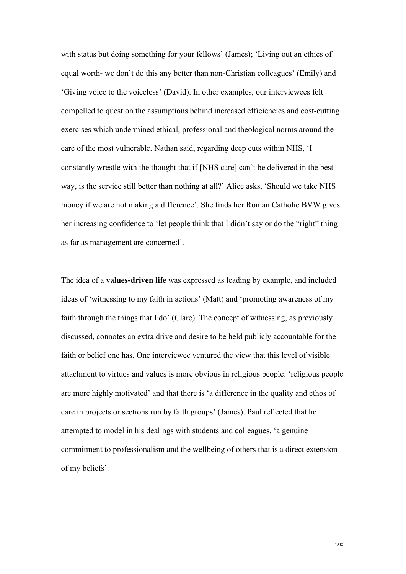with status but doing something for your fellows' (James); 'Living out an ethics of equal worth- we don't do this any better than non-Christian colleagues' (Emily) and 'Giving voice to the voiceless' (David). In other examples, our interviewees felt compelled to question the assumptions behind increased efficiencies and cost-cutting exercises which undermined ethical, professional and theological norms around the care of the most vulnerable. Nathan said, regarding deep cuts within NHS, 'I constantly wrestle with the thought that if [NHS care] can't be delivered in the best way, is the service still better than nothing at all?' Alice asks, 'Should we take NHS money if we are not making a difference'. She finds her Roman Catholic BVW gives her increasing confidence to 'let people think that I didn't say or do the "right" thing as far as management are concerned'.

The idea of a **values-driven life** was expressed as leading by example, and included ideas of 'witnessing to my faith in actions' (Matt) and 'promoting awareness of my faith through the things that I do' (Clare). The concept of witnessing, as previously discussed, connotes an extra drive and desire to be held publicly accountable for the faith or belief one has. One interviewee ventured the view that this level of visible attachment to virtues and values is more obvious in religious people: 'religious people are more highly motivated' and that there is 'a difference in the quality and ethos of care in projects or sections run by faith groups' (James). Paul reflected that he attempted to model in his dealings with students and colleagues, 'a genuine commitment to professionalism and the wellbeing of others that is a direct extension of my beliefs'.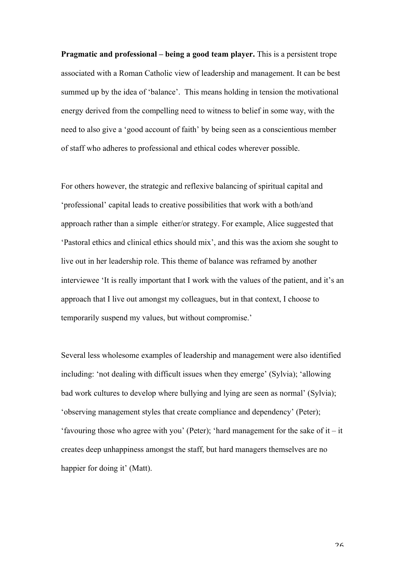**Pragmatic and professional – being a good team player.** This is a persistent trope associated with a Roman Catholic view of leadership and management. It can be best summed up by the idea of 'balance'. This means holding in tension the motivational energy derived from the compelling need to witness to belief in some way, with the need to also give a 'good account of faith' by being seen as a conscientious member of staff who adheres to professional and ethical codes wherever possible.

For others however, the strategic and reflexive balancing of spiritual capital and 'professional' capital leads to creative possibilities that work with a both/and approach rather than a simple either/or strategy. For example, Alice suggested that 'Pastoral ethics and clinical ethics should mix', and this was the axiom she sought to live out in her leadership role. This theme of balance was reframed by another interviewee 'It is really important that I work with the values of the patient, and it's an approach that I live out amongst my colleagues, but in that context, I choose to temporarily suspend my values, but without compromise.'

Several less wholesome examples of leadership and management were also identified including: 'not dealing with difficult issues when they emerge' (Sylvia); 'allowing bad work cultures to develop where bullying and lying are seen as normal' (Sylvia); 'observing management styles that create compliance and dependency' (Peter); 'favouring those who agree with you' (Peter); 'hard management for the sake of it – it creates deep unhappiness amongst the staff, but hard managers themselves are no happier for doing it' (Matt).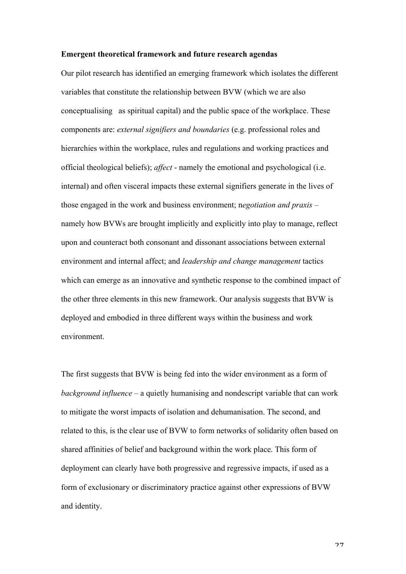#### **Emergent theoretical framework and future research agendas**

Our pilot research has identified an emerging framework which isolates the different variables that constitute the relationship between BVW (which we are also conceptualising as spiritual capital) and the public space of the workplace. These components are: *external signifiers and boundaries* (e.g. professional roles and hierarchies within the workplace, rules and regulations and working practices and official theological beliefs); *affect* - namely the emotional and psychological (i.e. internal) and often visceral impacts these external signifiers generate in the lives of those engaged in the work and business environment; n*egotiation and praxis* – namely how BVWs are brought implicitly and explicitly into play to manage, reflect upon and counteract both consonant and dissonant associations between external environment and internal affect; and *leadership and change management* tactics which can emerge as an innovative and synthetic response to the combined impact of the other three elements in this new framework. Our analysis suggests that BVW is deployed and embodied in three different ways within the business and work environment.

The first suggests that BVW is being fed into the wider environment as a form of *background influence* – a quietly humanising and nondescript variable that can work to mitigate the worst impacts of isolation and dehumanisation. The second, and related to this, is the clear use of BVW to form networks of solidarity often based on shared affinities of belief and background within the work place. This form of deployment can clearly have both progressive and regressive impacts, if used as a form of exclusionary or discriminatory practice against other expressions of BVW and identity.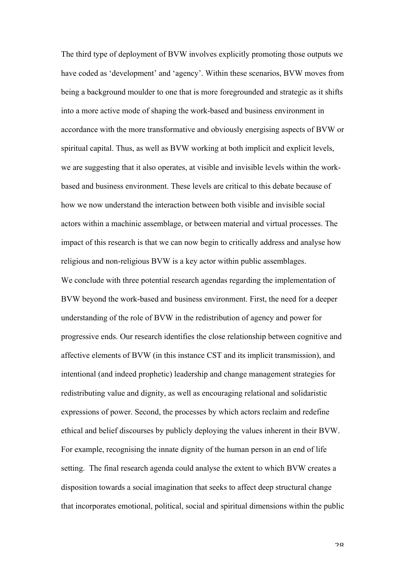The third type of deployment of BVW involves explicitly promoting those outputs we have coded as 'development' and 'agency'. Within these scenarios, BVW moves from being a background moulder to one that is more foregrounded and strategic as it shifts into a more active mode of shaping the work-based and business environment in accordance with the more transformative and obviously energising aspects of BVW or spiritual capital. Thus, as well as BVW working at both implicit and explicit levels, we are suggesting that it also operates, at visible and invisible levels within the workbased and business environment. These levels are critical to this debate because of how we now understand the interaction between both visible and invisible social actors within a machinic assemblage, or between material and virtual processes. The impact of this research is that we can now begin to critically address and analyse how religious and non-religious BVW is a key actor within public assemblages. We conclude with three potential research agendas regarding the implementation of BVW beyond the work-based and business environment. First, the need for a deeper understanding of the role of BVW in the redistribution of agency and power for progressive ends. Our research identifies the close relationship between cognitive and affective elements of BVW (in this instance CST and its implicit transmission), and intentional (and indeed prophetic) leadership and change management strategies for redistributing value and dignity, as well as encouraging relational and solidaristic expressions of power. Second, the processes by which actors reclaim and redefine ethical and belief discourses by publicly deploying the values inherent in their BVW. For example, recognising the innate dignity of the human person in an end of life setting. The final research agenda could analyse the extent to which BVW creates a disposition towards a social imagination that seeks to affect deep structural change that incorporates emotional, political, social and spiritual dimensions within the public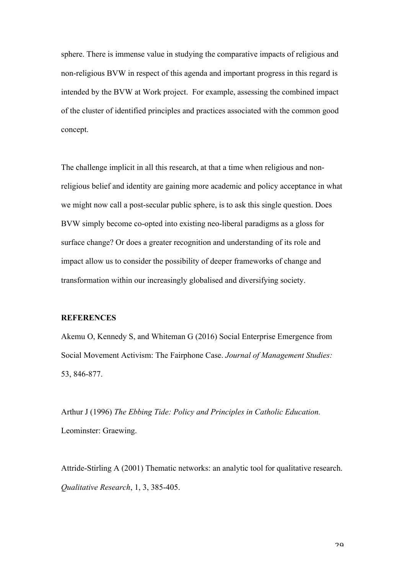sphere. There is immense value in studying the comparative impacts of religious and non-religious BVW in respect of this agenda and important progress in this regard is intended by the BVW at Work project. For example, assessing the combined impact of the cluster of identified principles and practices associated with the common good concept.

The challenge implicit in all this research, at that a time when religious and nonreligious belief and identity are gaining more academic and policy acceptance in what we might now call a post-secular public sphere, is to ask this single question. Does BVW simply become co-opted into existing neo-liberal paradigms as a gloss for surface change? Or does a greater recognition and understanding of its role and impact allow us to consider the possibility of deeper frameworks of change and transformation within our increasingly globalised and diversifying society.

## **REFERENCES**

Akemu O, Kennedy S, and Whiteman G (2016) Social Enterprise Emergence from Social Movement Activism: The Fairphone Case. *Journal of Management Studies:* 53, 846-877.

Arthur J (1996) *The Ebbing Tide: Policy and Principles in Catholic Education.*  Leominster: Graewing.

Attride-Stirling A (2001) Thematic networks: an analytic tool for qualitative research. *Qualitative Research*, 1, 3, 385-405.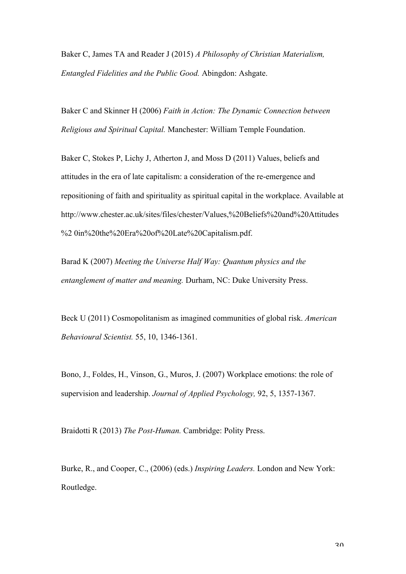Baker C, James TA and Reader J (2015) *A Philosophy of Christian Materialism, Entangled Fidelities and the Public Good.* Abingdon: Ashgate.

Baker C and Skinner H (2006) *Faith in Action: The Dynamic Connection between Religious and Spiritual Capital.* Manchester: William Temple Foundation.

Baker C, Stokes P, Lichy J, Atherton J, and Moss D (2011) Values, beliefs and attitudes in the era of late capitalism: a consideration of the re-emergence and repositioning of faith and spirituality as spiritual capital in the workplace. Available at http://www.chester.ac.uk/sites/files/chester/Values,%20Beliefs%20and%20Attitudes %2 0in%20the%20Era%20of%20Late%20Capitalism.pdf.

Barad K (2007) *Meeting the Universe Half Way: Quantum physics and the entanglement of matter and meaning.* Durham, NC: Duke University Press.

Beck U (2011) Cosmopolitanism as imagined communities of global risk. *American Behavioural Scientist.* 55, 10, 1346-1361.

Bono, J., Foldes, H., Vinson, G., Muros, J. (2007) Workplace emotions: the role of supervision and leadership. *Journal of Applied Psychology,* 92, 5, 1357-1367.

Braidotti R (2013) *The Post-Human.* Cambridge: Polity Press.

Burke, R., and Cooper, C., (2006) (eds.) *Inspiring Leaders.* London and New York: Routledge.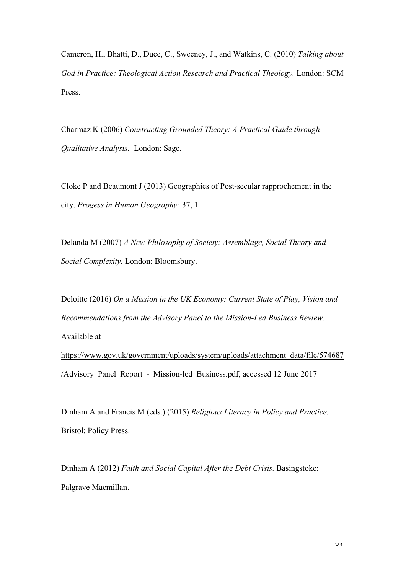Cameron, H., Bhatti, D., Duce, C., Sweeney, J., and Watkins, C. (2010) *Talking about God in Practice: Theological Action Research and Practical Theology.* London: SCM Press.

Charmaz K (2006) *Constructing Grounded Theory: A Practical Guide through Qualitative Analysis.* London: Sage.

Cloke P and Beaumont J (2013) Geographies of Post-secular rapprochement in the city. *Progess in Human Geography:* 37, 1

Delanda M (2007) *A New Philosophy of Society: Assemblage, Social Theory and Social Complexity.* London: Bloomsbury.

Deloitte (2016) *On a Mission in the UK Economy: Current State of Play, Vision and Recommendations from the Advisory Panel to the Mission-Led Business Review.*  Available at https://www.gov.uk/government/uploads/system/uploads/attachment\_data/file/574687 /Advisory\_Panel\_Report\_-\_Mission-led\_Business.pdf, accessed 12 June 2017

Dinham A and Francis M (eds.) (2015) *Religious Literacy in Policy and Practice.*  Bristol: Policy Press.

Dinham A (2012) *Faith and Social Capital After the Debt Crisis.* Basingstoke: Palgrave Macmillan.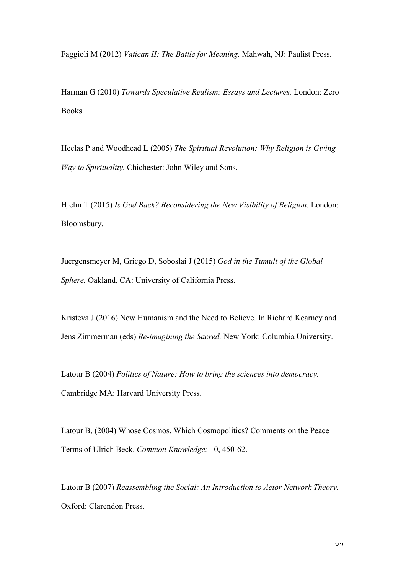Faggioli M (2012) *Vatican II: The Battle for Meaning.* Mahwah, NJ: Paulist Press.

Harman G (2010) *Towards Speculative Realism: Essays and Lectures.* London: Zero Books.

Heelas P and Woodhead L (2005) *The Spiritual Revolution: Why Religion is Giving Way to Spirituality.* Chichester: John Wiley and Sons.

Hjelm T (2015) *Is God Back? Reconsidering the New Visibility of Religion.* London: Bloomsbury.

Juergensmeyer M, Griego D, Soboslai J (2015) *God in the Tumult of the Global Sphere.* Oakland, CA: University of California Press.

Kristeva J (2016) New Humanism and the Need to Believe. In Richard Kearney and Jens Zimmerman (eds) *Re-imagining the Sacred.* New York: Columbia University.

Latour B (2004) *Politics of Nature: How to bring the sciences into democracy.*  Cambridge MA: Harvard University Press.

Latour B, (2004) Whose Cosmos, Which Cosmopolitics? Comments on the Peace Terms of Ulrich Beck. *Common Knowledge:* 10, 450-62.

Latour B (2007) *Reassembling the Social: An Introduction to Actor Network Theory.*  Oxford: Clarendon Press.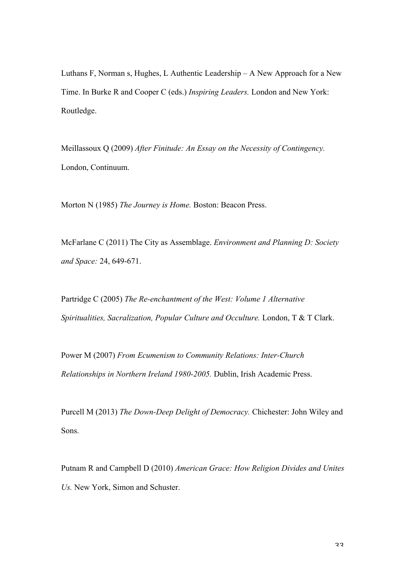Luthans F, Norman s, Hughes, L Authentic Leadership – A New Approach for a New Time. In Burke R and Cooper C (eds.) *Inspiring Leaders.* London and New York: Routledge.

Meillassoux Q (2009) *After Finitude: An Essay on the Necessity of Contingency.*  London, Continuum.

Morton N (1985) *The Journey is Home.* Boston: Beacon Press.

McFarlane C (2011) The City as Assemblage. *Environment and Planning D: Society and Space:* 24, 649-671.

Partridge C (2005) *The Re-enchantment of the West: Volume 1 Alternative Spiritualities, Sacralization, Popular Culture and Occulture.* London, T & T Clark.

Power M (2007) *From Ecumenism to Community Relations: Inter-Church Relationships in Northern Ireland 1980-2005.* Dublin, Irish Academic Press.

Purcell M (2013) *The Down-Deep Delight of Democracy.* Chichester: John Wiley and Sons.

Putnam R and Campbell D (2010) *American Grace: How Religion Divides and Unites Us.* New York, Simon and Schuster.